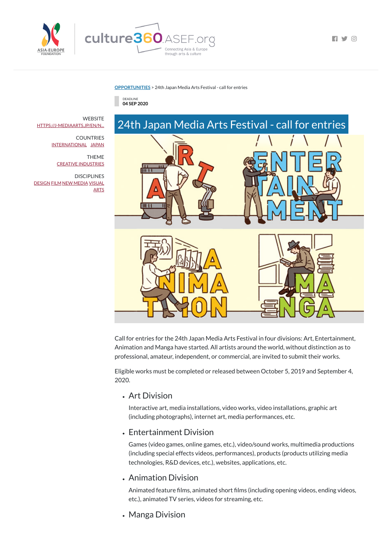

**[OPPORTUNITIES](https://culture360.asef.org/opportunities/)** > 24th Japan Media Arts Festival - call for entries





Call for entries for the 24th Japan Media Arts Festival in four divisions: Art, Entertainment, Animation and Manga have started. All artists around the world, without distinction as to professional, amateur, independent, or commercial, are invited to submit their works.

Eligible works must be completed or released between October 5, 2019 and September 4, 2020.

### Art Division

Animated feature films, animated short films (including opening videos, ending videos, etc.), animated TV series, videos for streaming, etc.

**WEBSITE** [HTTPS://J-MEDIAARTS.JP/EN/N...](https://j-mediaarts.jp/en/news/24th-4-divisions-art-entertainment-animation-manga-call-for-entry/)

> Interactive art, media installations, video works, video installations, graphic art (including photographs), internet art, media performances, etc.

 $\blacksquare$ 

#### Entertainment Division

Games (video games, online games, etc.), video/sound works, multimedia productions (including special effects videos, performances), products (products utilizing media technologies, R&D devices, etc.), websites, applications, etc.

## Animation Division

# Manga Division

COUNTRIES [INTERNATIONAL](https://culture360.asef.org/countries/international/) [JAPAN](https://culture360.asef.org/countries/japan/)

> THEME CREATIVE [INDUSTRIES](https://culture360.asef.org/themes/creative-industries/)

**DISCIPLINES** [DESIGN](https://culture360.asef.org/disciplines/design/) [FILM](https://culture360.asef.org/disciplines/film/) NEW [MEDIA](https://culture360.asef.org/disciplines/new-media/) [VISUAL](https://culture360.asef.org/disciplines/visual-arts/) **ARTS**